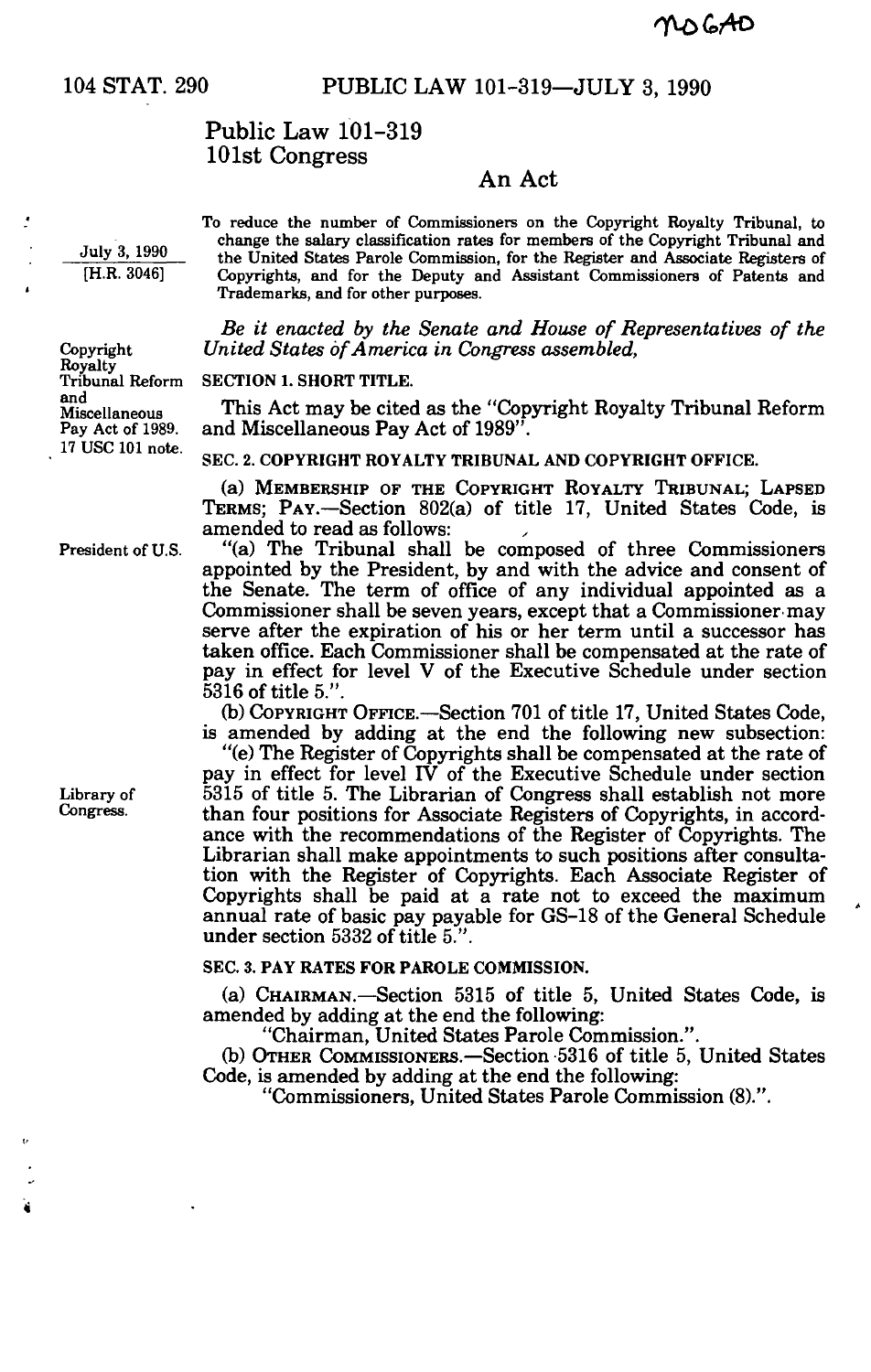## 104 STAT. 290 PUBLIC LAW 101-319—JULY 3, 1990

# Public Law 101-319 101st Congress

### An Act

**July 3, 1990 [H.R. 3046]** 

**Copyright Royalty Tribunal Reform** 

**Miscellaneous Pay Act of 1989. 17 USC 101 note.** 

**and** 

J

**To reduce the number of Commissioners on the Copyright Royalty Tribunal, to change the salary classification rates for members of the Copyright Tribunal and the United States Parole Commission, for the Register and Associate Registers of Copyrights, and for the Deputy and Assistant Commissioners of Patents and Trademarks, and for other purposes.** 

*Be it enacted by the Senate and House of Representatives of the United States of America in Congress assembled,* 

**SECTION 1. SHORT TITLE.** 

This Act may be cited as the "Copyright Royalty Tribunal Reform and Miscellaneous Pay Act of 1989".

**SEC. 2. COPYRIGHT ROYALTY TRIBUNAL AND COPYRIGHT OFFICE.** 

(a) MEMBERSHIP OF THE COPYRIGHT ROYALTY TRIBUNAL; LAPSED TERMS; PAY.—Section 802(a) of title 17, United States Code, is amended to read as follows:

President of U.S. "(a) The Tribunal shall be composed of three Commissioners appointed by the President, by and with the advice and consent of the Senate. The term of office of any individual appointed as a Commissioner shall be seven years, except that a Commissioner may serve after the expiration of his or her term until a successor has taken office. Each Commissioner shall be compensated at the rate of pay in effect for level V of the Executive Schedule under section 5316 of title 5.".

Ob) COPYRIGHT OFFICE.—Section 701 of title 17, United States Code, is amended by adding at the end the following new subsection:

"(e) The Register of Copyrights shall be compensated at the rate of pay in effect for level IV of the Executive Schedule under section Library of 5315 of title 5. The Librarian of Congress shall establish not more<br>Congress. than four positions for Associate Begistars of Converghts in accordthan four positions for Associate Registers of Copyrights, in accordance with the recommendations of the Register of Copyrights. The Librarian shall make appointments to such positions after consultation with the Register of Copyrights. Each Associate Register of Copyrights shall be paid at a rate not to exceed the maximum annual rate of basic pay payable for GS-18 of the General Schedule under section 5332 of title 5.".

#### **SEC. 3. PAY RATES FOR PAROLE COMMISSION.**

(a) CHAIRMAN.—Section 5315 of title 5, United States Code, is amended by adding at the end the following:

"Chairman, United States Parole Commission.".

Ob) OTHER COMMISSIONERS.—Section 5316 of title 5, United States Code, is amended by adding at the end the following:

"Commissioners, United States Parole Commission (8).".